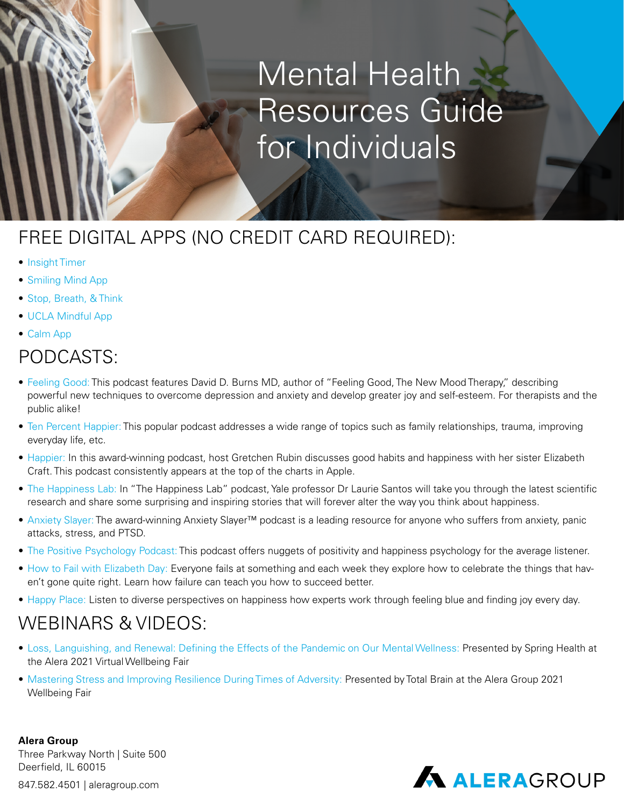# Mental Health Resources Guide for Individuals

## FREE DIGITAL APPS (NO CREDIT CARD REQUIRED):

- [Insight Timer](https://insighttimer.com/)
- [Smiling Mind App](https://www.smilingmind.com.au/smiling-mind-app/)
- [Stop, Breath, & Think](https://my.life/)
- [UCLA Mindful App](https://www.uclahealth.org/ucla-mindful)
- [Calm App](https://www.calm.com/)

#### PODCASTS:

- [Feeling Good: T](https://podcasts.apple.com/us/podcast/feeling-good-podcast-team-cbt-the-new-mood-therapy/id1171155453?mt=2&app=podcast)his podcast features David D. Burns MD, author of "Feeling Good, The New Mood Therapy," describing powerful new techniques to overcome depression and anxiety and develop greater joy and self-esteem. For therapists and the public alike!
- [Ten Percent Happier: T](https://www.tenpercent.com/podcast)his popular podcast addresses a wide range of topics such as family relationships, trauma, improving everyday life, etc.
- [Happier:](https://gretchenrubin.com/podcasts/) In this award-winning podcast, host Gretchen Rubin discusses good habits and happiness with her sister Elizabeth Craft. This podcast consistently appears at the top of the charts in Apple.
- [The Happiness Lab:](https://www.happinesslab.fm/) In "The Happiness Lab" podcast, Yale professor Dr Laurie Santos will take you through the latest scientific research and share some surprising and inspiring stories that will forever alter the way you think about happiness.
- [Anxiety Slayer: T](https://www.anxietyslayer.com/)he award-winning Anxiety Slayer™ podcast is a leading resource for anyone who suffers from anxiety, panic attacks, stress, and PTSD.
- [The Positive Psychology Podcast: T](https://podcasts.apple.com/us/podcast/the-positive-psychology-podcast-bringing-the/id912190084)his podcast offers nuggets of positivity and happiness psychology for the average listener.
- [How to Fail with Elizabeth Day:](https://podcasts.apple.com/gb/podcast/how-to-fail-with-elizabeth-day/id1407451189) Everyone fails at something and each week they explore how to celebrate the things that haven't gone quite right. Learn how failure can teach you how to succeed better.
- [Happy Place:](https://www.officialfearnecotton.com/news/2018/2/26/happy-place-podcast) Listen to diverse perspectives on happiness how experts work through feeling blue and finding joy every day.

### WEBINARS & VIDEOS:

- [Loss, Languishing, and Renewal: Defining the Effects of the Pandemic on Our Mental Wellness:](https://cloud.aleragroup.com/2021wellbeingfair/?utm_source=event&utm_campaign=wellbeingfair) Presented by Spring Health at the Alera 2021 Virtual Wellbeing Fair
- [Mastering Stress and Improving Resilience During Times of Adversity: P](https://cloud.aleragroup.com/2021wellbeingfair/?utm_source=event&utm_campaign=wellbeingfair)resented by Total Brain at the Alera Group 2021 Wellbeing Fair

**Alera Group** Three Parkway North | Suite 500 Deerfield, IL 60015 847.582.4501 | aleragroup.com